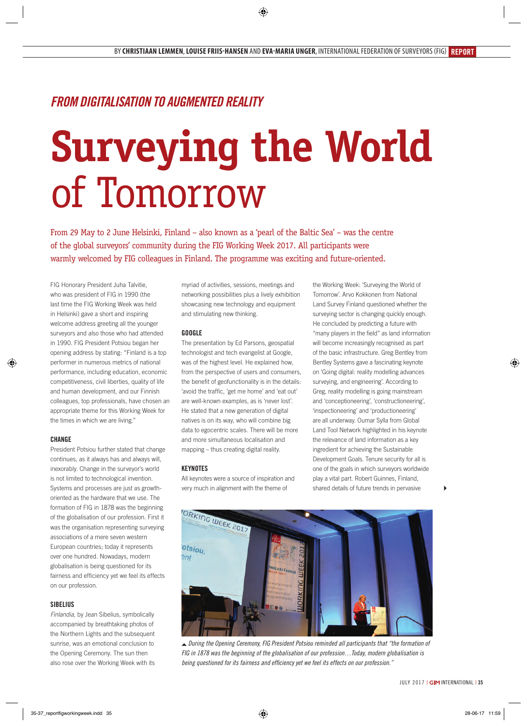# *From Digitalisation to Augmented Reality*

# **Surveying the World** of Tomorrow

From 29 May to 2 June Helsinki, Finland – also known as a 'pearl of the Baltic Sea' – was the centre of the global surveyors' community during the FIG Working Week 2017. All participants were warmly welcomed by FIG colleagues in Finland. The programme was exciting and future-oriented.

FIG Honorary President Juha Talvitie, who was president of FIG in 1990 (the last time the FIG Working Week was held in Helsinki) gave a short and inspiring welcome address greeting all the younger surveyors and also those who had attended in 1990. FIG President Potsiou began her opening address by stating: "Finland is a top performer in numerous metrics of national performance, including education, economic competitiveness, civil liberties, quality of life and human development, and our Finnish colleagues, top professionals, have chosen an appropriate theme for this Working Week for the times in which we are living."

# **Change**

President Potsiou further stated that change continues, as it always has and always will, inexorably. Change in the surveyor's world is not limited to technological invention. Systems and processes are just as growthoriented as the hardware that we use. The formation of FIG in 1878 was the beginning of the globalisation of our profession. First it was the organisation representing surveying associations of a mere seven western European countries; today it represents over one hundred. Nowadays, modern globalisation is being questioned for its fairness and efficiency yet we feel its effects on our profession.

# **Sibelius**

*Finlandia*, by Jean Sibelius, symbolically accompanied by breathtaking photos of the Northern Lights and the subsequent sunrise, was an emotional conclusion to the Opening Ceremony. The sun then also rose over the Working Week with its myriad of activities, sessions, meetings and networking possibilities plus a lively exhibition showcasing new technology and equipment and stimulating new thinking.

#### **Google**

The presentation by Ed Parsons, geospatial technologist and tech evangelist at Google, was of the highest level. He explained how, from the perspective of users and consumers, the benefit of geofunctionality is in the details: 'avoid the traffic, 'get me home' and 'eat out' are well-known examples, as is 'never lost'. He stated that a new generation of digital natives is on its way, who will combine big data to egocentric scales. There will be more and more simultaneous localisation and mapping – thus creating digital reality.

## **Keynotes**

All keynotes were a source of inspiration and very much in alignment with the theme of

the Working Week: 'Surveying the World of Tomorrow'. Arvo Kokkonen from National Land Survey Finland questioned whether the surveying sector is changing quickly enough. He concluded by predicting a future with "many players in the field" as land information will become increasingly recognised as part of the basic infrastructure. Greg Bentley from Bentley Systems gave a fascinating keynote on 'Going digital: reality modelling advances surveying, and engineering'. According to Greg, reality modelling is going mainstream and 'conceptioneering', 'constructioneering', 'inspectioneering' and 'productioneering' are all underway. Oumar Sylla from Global Land Tool Network highlighted in his keynote the relevance of land information as a key ingredient for achieving the Sustainable Development Goals. Tenure security for all is one of the goals in which surveyors worldwide play a vital part. Robert Guinnes, Finland, shared details of future trends in pervasive



 *During the Opening Ceremony, FIG President Potsiou reminded all participants that "the formation of FIG in 1878 was the beginning of the globalisation of our profession…Today, modern globalisation is being questioned for its fairness and efficiency yet we feel its effects on our profession."*